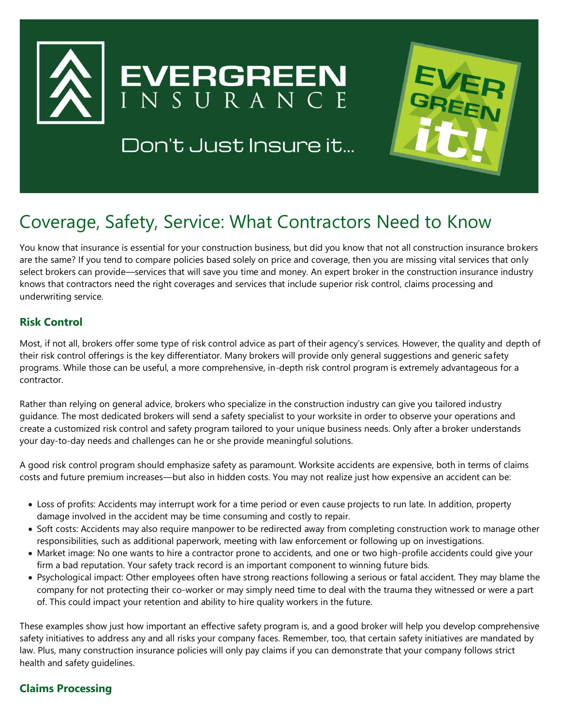

## Don't Just Insure it...



# Coverage, Safety, Service: What Contractors Need to Know

You know that insurance is essential for your construction business, but did you know that not all construction insurance brokers are the same? If you tend to compare policies based solely on price and coverage, then you are missing vital services that only select brokers can provide—services that will save you time and money. An expert broker in the construction insurance industry knows that contractors need the right coverages and services that include superior risk control, claims processing and underwriting service.

## **Risk Control**

Most, if not all, brokers offer some type of risk control advice as part of their agency's services. However, the quality and depth of their risk control offerings is the key differentiator. Many brokers will provide only general suggestions and generic safety programs. While those can be useful, a more comprehensive, in-depth risk control program is extremely advantageous for a contractor.

Rather than relying on general advice, brokers who specialize in the construction industry can give you tailored industry guidance. The most dedicated brokers will send a safety specialist to your worksite in order to observe your operations and create a customized risk control and safety program tailored to your unique business needs. Only after a broker understands your day-to-day needs and challenges can he or she provide meaningful solutions.

A good risk control program should emphasize safety as paramount. Worksite accidents are expensive, both in terms of claims costs and future premium increases—but also in hidden costs. You may not realize just how expensive an accident can be:

- Loss of profits: Accidents may interrupt work for a time period or even cause projects to run late. In addition, property damage involved in the accident may be time consuming and costly to repair.
- Soft costs: Accidents may also require manpower to be redirected away from completing construction work to manage other responsibilities, such as additional paperwork, meeting with law enforcement or following up on investigations.
- Market image: No one wants to hire a contractor prone to accidents, and one or two high-profile accidents could give your firm a bad reputation. Your safety track record is an important component to winning future bids.
- Psychological impact: Other employees often have strong reactions following a serious or fatal accident. They may blame the company for not protecting their co-worker or may simply need time to deal with the trauma they witnessed or were a part of. This could impact your retention and ability to hire quality workers in the future.

These examples show just how important an effective safety program is, and a good broker will help you develop comprehensive safety initiatives to address any and all risks your company faces. Remember, too, that certain safety initiatives are mandated by law. Plus, many construction insurance policies will only pay claims if you can demonstrate that your company follows strict health and safety guidelines.

## **Claims Processing**